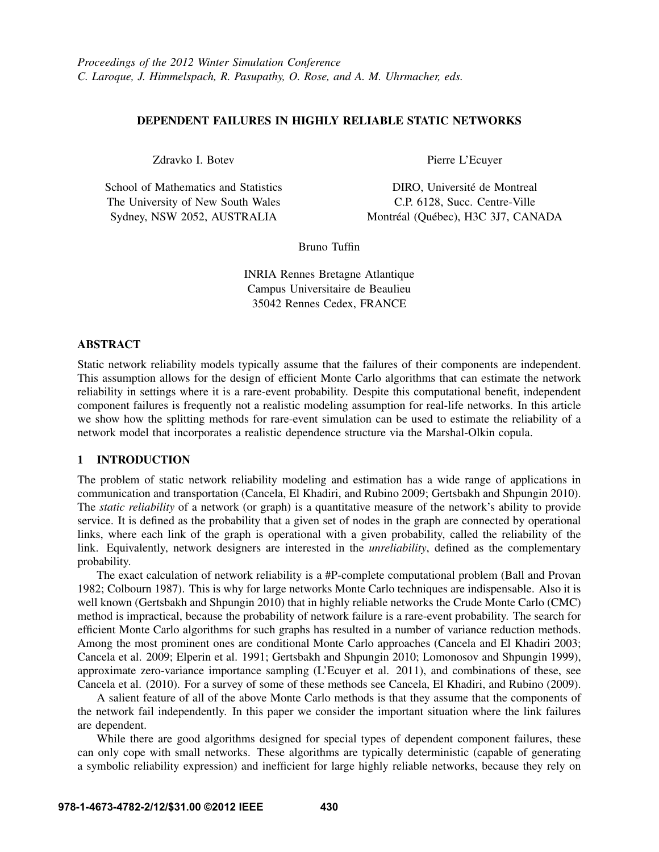# DEPENDENT FAILURES IN HIGHLY RELIABLE STATIC NETWORKS

Zdravko I. Botev

School of Mathematics and Statistics The University of New South Wales Sydney, NSW 2052, AUSTRALIA

Pierre L'Ecuyer

DIRO, Université de Montreal C.P. 6128, Succ. Centre-Ville Montréal (Québec), H3C 3J7, CANADA

Bruno Tuffin

INRIA Rennes Bretagne Atlantique Campus Universitaire de Beaulieu 35042 Rennes Cedex, FRANCE

# ABSTRACT

Static network reliability models typically assume that the failures of their components are independent. This assumption allows for the design of efficient Monte Carlo algorithms that can estimate the network reliability in settings where it is a rare-event probability. Despite this computational benefit, independent component failures is frequently not a realistic modeling assumption for real-life networks. In this article we show how the splitting methods for rare-event simulation can be used to estimate the reliability of a network model that incorporates a realistic dependence structure via the Marshal-Olkin copula.

# 1 INTRODUCTION

The problem of static network reliability modeling and estimation has a wide range of applications in communication and transportation (Cancela, El Khadiri, and Rubino 2009; Gertsbakh and Shpungin 2010). The *static reliability* of a network (or graph) is a quantitative measure of the network's ability to provide service. It is defined as the probability that a given set of nodes in the graph are connected by operational links, where each link of the graph is operational with a given probability, called the reliability of the link. Equivalently, network designers are interested in the *unreliability*, defined as the complementary probability.

The exact calculation of network reliability is a #P-complete computational problem (Ball and Provan 1982; Colbourn 1987). This is why for large networks Monte Carlo techniques are indispensable. Also it is well known (Gertsbakh and Shpungin 2010) that in highly reliable networks the Crude Monte Carlo (CMC) method is impractical, because the probability of network failure is a rare-event probability. The search for efficient Monte Carlo algorithms for such graphs has resulted in a number of variance reduction methods. Among the most prominent ones are conditional Monte Carlo approaches (Cancela and El Khadiri 2003; Cancela et al. 2009; Elperin et al. 1991; Gertsbakh and Shpungin 2010; Lomonosov and Shpungin 1999), approximate zero-variance importance sampling (L'Ecuyer et al. 2011), and combinations of these, see Cancela et al. (2010). For a survey of some of these methods see Cancela, El Khadiri, and Rubino (2009).

A salient feature of all of the above Monte Carlo methods is that they assume that the components of the network fail independently. In this paper we consider the important situation where the link failures are dependent.

While there are good algorithms designed for special types of dependent component failures, these can only cope with small networks. These algorithms are typically deterministic (capable of generating a symbolic reliability expression) and inefficient for large highly reliable networks, because they rely on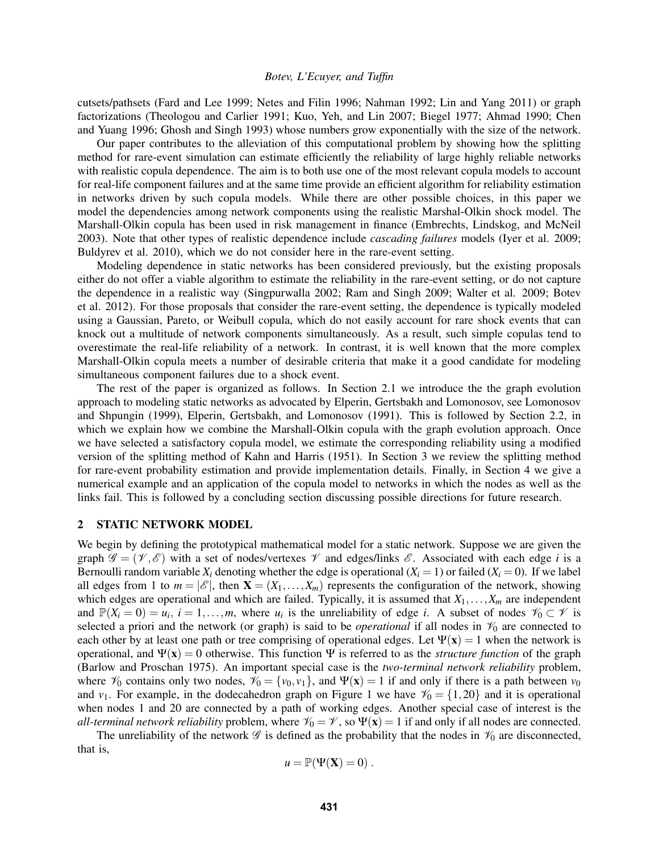cutsets/pathsets (Fard and Lee 1999; Netes and Filin 1996; Nahman 1992; Lin and Yang 2011) or graph factorizations (Theologou and Carlier 1991; Kuo, Yeh, and Lin 2007; Biegel 1977; Ahmad 1990; Chen and Yuang 1996; Ghosh and Singh 1993) whose numbers grow exponentially with the size of the network.

Our paper contributes to the alleviation of this computational problem by showing how the splitting method for rare-event simulation can estimate efficiently the reliability of large highly reliable networks with realistic copula dependence. The aim is to both use one of the most relevant copula models to account for real-life component failures and at the same time provide an efficient algorithm for reliability estimation in networks driven by such copula models. While there are other possible choices, in this paper we model the dependencies among network components using the realistic Marshal-Olkin shock model. The Marshall-Olkin copula has been used in risk management in finance (Embrechts, Lindskog, and McNeil 2003). Note that other types of realistic dependence include *cascading failures* models (Iyer et al. 2009; Buldyrev et al. 2010), which we do not consider here in the rare-event setting.

Modeling dependence in static networks has been considered previously, but the existing proposals either do not offer a viable algorithm to estimate the reliability in the rare-event setting, or do not capture the dependence in a realistic way (Singpurwalla 2002; Ram and Singh 2009; Walter et al. 2009; Botev et al. 2012). For those proposals that consider the rare-event setting, the dependence is typically modeled using a Gaussian, Pareto, or Weibull copula, which do not easily account for rare shock events that can knock out a multitude of network components simultaneously. As a result, such simple copulas tend to overestimate the real-life reliability of a network. In contrast, it is well known that the more complex Marshall-Olkin copula meets a number of desirable criteria that make it a good candidate for modeling simultaneous component failures due to a shock event.

The rest of the paper is organized as follows. In Section 2.1 we introduce the the graph evolution approach to modeling static networks as advocated by Elperin, Gertsbakh and Lomonosov, see Lomonosov and Shpungin (1999), Elperin, Gertsbakh, and Lomonosov (1991). This is followed by Section 2.2, in which we explain how we combine the Marshall-Olkin copula with the graph evolution approach. Once we have selected a satisfactory copula model, we estimate the corresponding reliability using a modified version of the splitting method of Kahn and Harris (1951). In Section 3 we review the splitting method for rare-event probability estimation and provide implementation details. Finally, in Section 4 we give a numerical example and an application of the copula model to networks in which the nodes as well as the links fail. This is followed by a concluding section discussing possible directions for future research.

#### 2 STATIC NETWORK MODEL

We begin by defining the prototypical mathematical model for a static network. Suppose we are given the graph  $\mathscr{G} = (\mathscr{V}, \mathscr{E})$  with a set of nodes/vertexes  $\mathscr{V}$  and edges/links  $\mathscr{E}$ . Associated with each edge *i* is a Bernoulli random variable  $X_i$  denoting whether the edge is operational  $(X_i = 1)$  or failed  $(X_i = 0)$ . If we label all edges from 1 to  $m = |\mathscr{E}|$ , then  $\mathbf{X} = (X_1, \ldots, X_m)$  represents the configuration of the network, showing which edges are operational and which are failed. Typically, it is assumed that  $X_1, \ldots, X_m$  are independent and  $\mathbb{P}(X_i = 0) = u_i$ ,  $i = 1,...,m$ , where  $u_i$  is the unreliability of edge *i*. A subset of nodes  $\mathcal{V}_0 \subset \mathcal{V}$  is selected a priori and the network (or graph) is said to be *operational* if all nodes in  $\mathcal{V}_0$  are connected to each other by at least one path or tree comprising of operational edges. Let  $\Psi(\mathbf{x}) = 1$  when the network is operational, and  $\Psi(\mathbf{x}) = 0$  otherwise. This function  $\Psi$  is referred to as the *structure function* of the graph (Barlow and Proschan 1975). An important special case is the *two-terminal network reliability* problem, where  $\mathcal{V}_0$  contains only two nodes,  $\mathcal{V}_0 = \{v_0, v_1\}$ , and  $\Psi(\mathbf{x}) = 1$  if and only if there is a path between  $v_0$ and *v*<sub>1</sub>. For example, in the dodecahedron graph on Figure 1 we have  $\mathcal{V}_0 = \{1,20\}$  and it is operational when nodes 1 and 20 are connected by a path of working edges. Another special case of interest is the *all-terminal network reliability* problem, where  $\mathcal{V}_0 = \mathcal{V}$ , so  $\Psi(\mathbf{x}) = 1$  if and only if all nodes are connected.

The unreliability of the network  $\mathscr G$  is defined as the probability that the nodes in  $\mathscr V_0$  are disconnected, that is,

$$
u = \mathbb{P}(\Psi(\mathbf{X}) = 0) .
$$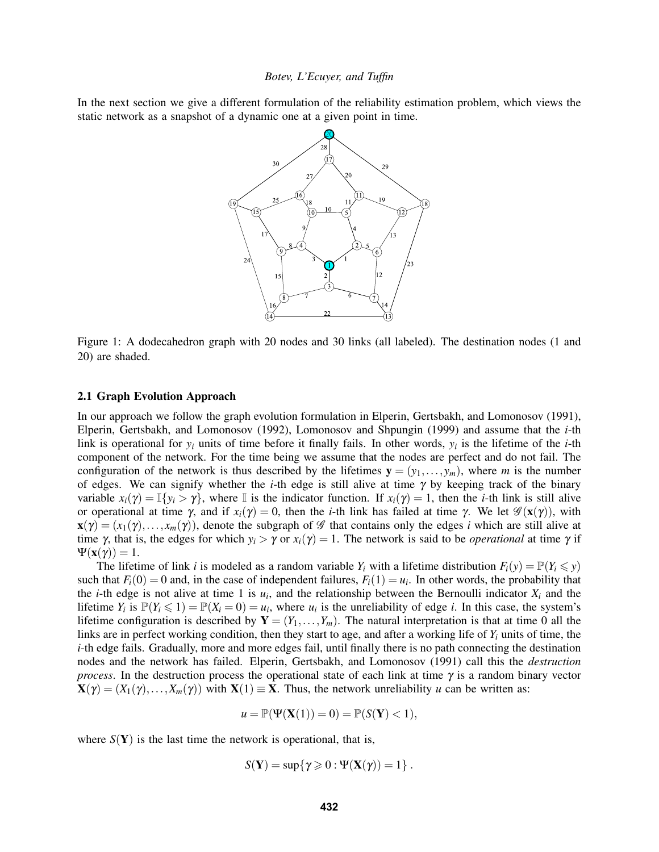In the next section we give a different formulation of the reliability estimation problem, which views the static network as a snapshot of a dynamic one at a given point in time.



Figure 1: A dodecahedron graph with 20 nodes and 30 links (all labeled). The destination nodes (1 and 20) are shaded.

### 2.1 Graph Evolution Approach

In our approach we follow the graph evolution formulation in Elperin, Gertsbakh, and Lomonosov (1991), Elperin, Gertsbakh, and Lomonosov (1992), Lomonosov and Shpungin (1999) and assume that the *i*-th link is operational for *y<sup>i</sup>* units of time before it finally fails. In other words, *y<sup>i</sup>* is the lifetime of the *i*-th component of the network. For the time being we assume that the nodes are perfect and do not fail. The configuration of the network is thus described by the lifetimes  $y = (y_1, \ldots, y_m)$ , where *m* is the number of edges. We can signify whether the *i*-th edge is still alive at time γ by keeping track of the binary variable  $x_i(\gamma) = \mathbb{I}\{y_i > \gamma\}$ , where  $\mathbb{I}$  is the indicator function. If  $x_i(\gamma) = 1$ , then the *i*-th link is still alive or operational at time γ, and if  $x_i(y) = 0$ , then the *i*-th link has failed at time γ. We let  $\mathscr{G}(x(y))$ , with  $\mathbf{x}(\gamma) = (x_1(\gamma), \dots, x_m(\gamma))$ , denote the subgraph of  $\mathscr G$  that contains only the edges *i* which are still alive at time γ, that is, the edges for which  $y_i > \gamma$  or  $x_i(\gamma) = 1$ . The network is said to be *operational* at time γ if  $\Psi(\mathbf{x}(\gamma)) = 1.$ 

The lifetime of link *i* is modeled as a random variable  $Y_i$  with a lifetime distribution  $F_i(y) = \mathbb{P}(Y_i \leq y)$ such that  $F_i(0) = 0$  and, in the case of independent failures,  $F_i(1) = u_i$ . In other words, the probability that the *i*-th edge is not alive at time 1 is  $u_i$ , and the relationship between the Bernoulli indicator  $X_i$  and the lifetime  $Y_i$  is  $\mathbb{P}(Y_i \leq 1) = \mathbb{P}(X_i = 0) = u_i$ , where  $u_i$  is the unreliability of edge *i*. In this case, the system's lifetime configuration is described by  $Y = (Y_1, \ldots, Y_m)$ . The natural interpretation is that at time 0 all the links are in perfect working condition, then they start to age, and after a working life of *Y<sup>i</sup>* units of time, the *i*-th edge fails. Gradually, more and more edges fail, until finally there is no path connecting the destination nodes and the network has failed. Elperin, Gertsbakh, and Lomonosov (1991) call this the *destruction process*. In the destruction process the operational state of each link at time  $\gamma$  is a random binary vector  $\mathbf{X}(\gamma) = (X_1(\gamma), \dots, X_m(\gamma))$  with  $\mathbf{X}(1) \equiv \mathbf{X}$ . Thus, the network unreliability *u* can be written as:

$$
u = \mathbb{P}(\Psi(\mathbf{X}(1)) = 0) = \mathbb{P}(S(\mathbf{Y}) < 1),
$$

where  $S(Y)$  is the last time the network is operational, that is,

$$
S(\mathbf{Y}) = \sup\{\gamma \geqslant 0 : \Psi(\mathbf{X}(\gamma)) = 1\}.
$$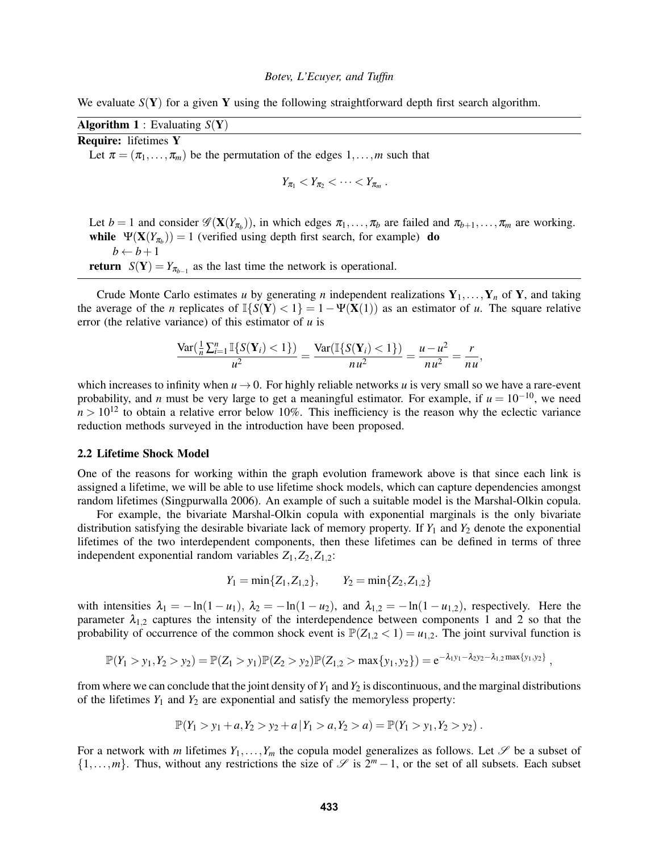We evaluate  $S(Y)$  for a given Y using the following straightforward depth first search algorithm.

**Algorithm 1** : Evaluating  $S(Y)$ Require: lifetimes Y Let  $\pi = (\pi_1, \ldots, \pi_m)$  be the permutation of the edges  $1, \ldots, m$  such that  $Y_{\pi_1} < Y_{\pi_2} < \cdots < Y_{\pi_m}$ .

Let  $b = 1$  and consider  $\mathscr{G}(\mathbf{X}(Y_{\pi_b}))$ , in which edges  $\pi_1, \ldots, \pi_b$  are failed and  $\pi_{b+1}, \ldots, \pi_m$  are working. while  $\Psi(\mathbf{X}(Y_{\pi_b})) = 1$  (verified using depth first search, for example) do  $b \leftarrow b + 1$ **return**  $S(Y) = Y_{\pi_{b-1}}$  as the last time the network is operational.

Crude Monte Carlo estimates *u* by generating *n* independent realizations  $Y_1, \ldots, Y_n$  of Y, and taking the average of the *n* replicates of  $\mathbb{I}\{S(Y) < 1\} = 1 - \Psi(\mathbf{X}(1))$  as an estimator of *u*. The square relative error (the relative variance) of this estimator of *u* is

$$
\frac{\text{Var}\left(\frac{1}{n}\sum_{i=1}^{n}\mathbb{I}\{S(\mathbf{Y}_i) < 1\}\right)}{u^2} = \frac{\text{Var}(\mathbb{I}\{S(\mathbf{Y}_i) < 1\})}{nu^2} = \frac{u - u^2}{nu^2} = \frac{r}{nu},
$$

which increases to infinity when  $u \rightarrow 0$ . For highly reliable networks *u* is very small so we have a rare-event probability, and *n* must be very large to get a meaningful estimator. For example, if  $u = 10^{-10}$ , we need  $n > 10^{12}$  to obtain a relative error below 10%. This inefficiency is the reason why the eclectic variance reduction methods surveyed in the introduction have been proposed.

#### 2.2 Lifetime Shock Model

One of the reasons for working within the graph evolution framework above is that since each link is assigned a lifetime, we will be able to use lifetime shock models, which can capture dependencies amongst random lifetimes (Singpurwalla 2006). An example of such a suitable model is the Marshal-Olkin copula.

For example, the bivariate Marshal-Olkin copula with exponential marginals is the only bivariate distribution satisfying the desirable bivariate lack of memory property. If  $Y_1$  and  $Y_2$  denote the exponential lifetimes of the two interdependent components, then these lifetimes can be defined in terms of three independent exponential random variables  $Z_1$ ,  $Z_2$ ,  $Z_{1,2}$ :

$$
Y_1 = min{Z_1, Z_{1,2}}, \qquad Y_2 = min{Z_2, Z_{1,2}}
$$

with intensities  $\lambda_1 = -\ln(1 - u_1)$ ,  $\lambda_2 = -\ln(1 - u_2)$ , and  $\lambda_{1,2} = -\ln(1 - u_{1,2})$ , respectively. Here the parameter  $\lambda_{1,2}$  captures the intensity of the interdependence between components 1 and 2 so that the probability of occurrence of the common shock event is  $\mathbb{P}(Z_{1,2} < 1) = u_{1,2}$ . The joint survival function is

$$
\mathbb{P}(Y_1 > y_1, Y_2 > y_2) = \mathbb{P}(Z_1 > y_1)\mathbb{P}(Z_2 > y_2)\mathbb{P}(Z_{1,2} > \max\{y_1, y_2\}) = e^{-\lambda_1y_1 - \lambda_2y_2 - \lambda_{1,2}\max\{y_1, y_2\}},
$$

from where we can conclude that the joint density of  $Y_1$  and  $Y_2$  is discontinuous, and the marginal distributions of the lifetimes  $Y_1$  and  $Y_2$  are exponential and satisfy the memoryless property:

$$
\mathbb{P}(Y_1 > y_1 + a, Y_2 > y_2 + a | Y_1 > a, Y_2 > a) = \mathbb{P}(Y_1 > y_1, Y_2 > y_2).
$$

For a network with *m* lifetimes  $Y_1, \ldots, Y_m$  the copula model generalizes as follows. Let  $\mathscr S$  be a subset of  $\{1,\ldots,m\}$ . Thus, without any restrictions the size of  $\mathscr S$  is  $2^m-1$ , or the set of all subsets. Each subset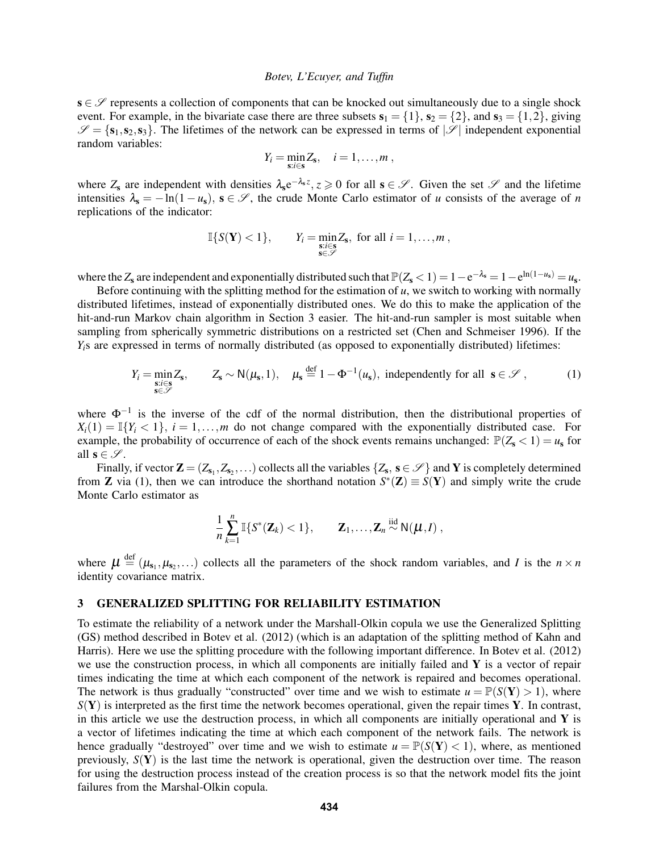$s \in \mathscr{S}$  represents a collection of components that can be knocked out simultaneously due to a single shock event. For example, in the bivariate case there are three subsets  $s_1 = \{1\}$ ,  $s_2 = \{2\}$ , and  $s_3 = \{1,2\}$ , giving  $\mathscr{S} = \{s_1, s_2, s_3\}$ . The lifetimes of the network can be expressed in terms of  $|\mathscr{S}|$  independent exponential random variables:

$$
Y_i = \min_{\mathbf{s}: i \in \mathbf{s}} Z_{\mathbf{s}}, \quad i = 1, \ldots, m,
$$

where  $Z_s$  are independent with densities  $\lambda_s e^{-\lambda_s z}$ ,  $z \ge 0$  for all  $s \in \mathscr{S}$ . Given the set  $\mathscr{S}$  and the lifetime intensities  $\lambda_s = -\ln(1 - u_s)$ ,  $s \in \mathcal{S}$ , the crude Monte Carlo estimator of *u* consists of the average of *n* replications of the indicator:

$$
\mathbb{I}\{S(\mathbf{Y})<1\}, \qquad Y_i=\min_{\substack{\mathbf{s}:i\in\mathbf{s}\\\mathbf{s}\in\mathscr{S}}}\mathbf{Z}_\mathbf{s}, \text{ for all } i=1,\ldots,m\,,
$$

where the  $Z_s$  are independent and exponentially distributed such that  $\mathbb{P}(Z_s < 1) = 1 - e^{-\lambda_s} = 1 - e^{\ln(1 - u_s)} = u_s$ .

Before continuing with the splitting method for the estimation of  $u$ , we switch to working with normally distributed lifetimes, instead of exponentially distributed ones. We do this to make the application of the hit-and-run Markov chain algorithm in Section 3 easier. The hit-and-run sampler is most suitable when sampling from spherically symmetric distributions on a restricted set (Chen and Schmeiser 1996). If the *Y*<sub>i</sub>s are expressed in terms of normally distributed (as opposed to exponentially distributed) lifetimes:

$$
Y_i = \min_{\substack{s:i \in \mathcal{S} \\ s \in \mathcal{S}}} Z_s, \qquad Z_s \sim N(\mu_s, 1), \quad \mu_s \stackrel{\text{def}}{=} 1 - \Phi^{-1}(\mu_s), \text{ independently for all } s \in \mathcal{S}, \tag{1}
$$

where  $\Phi^{-1}$  is the inverse of the cdf of the normal distribution, then the distributional properties of  $X_i(1) = \mathbb{I}\{Y_i < 1\}, i = 1,...,m$  do not change compared with the exponentially distributed case. For example, the probability of occurrence of each of the shock events remains unchanged:  $\mathbb{P}(Z_{s} < 1) = u_{s}$  for all  $\mathbf{s} \in \mathcal{S}$ .

Finally, if vector  $\mathbf{Z} = (Z_{s_1}, Z_{s_2}, ...)$  collects all the variables  $\{Z_s, s \in \mathscr{S}\}\$  and  $\mathbf{Y}$  is completely determined from **Z** via (1), then we can introduce the shorthand notation  $S^*(\mathbf{Z}) \equiv S(\mathbf{Y})$  and simply write the crude Monte Carlo estimator as

$$
\frac{1}{n}\sum_{k=1}^n \mathbb{I}\{S^*(\mathbf{Z}_k) < 1\}, \qquad \mathbf{Z}_1,\ldots,\mathbf{Z}_n \stackrel{\text{iid}}{\sim} \mathsf{N}(\boldsymbol{\mu},I) ,
$$

where  $\mu \stackrel{\text{def}}{=} (\mu_{s_1}, \mu_{s_2}, \dots)$  collects all the parameters of the shock random variables, and *I* is the  $n \times n$ identity covariance matrix.

# 3 GENERALIZED SPLITTING FOR RELIABILITY ESTIMATION

To estimate the reliability of a network under the Marshall-Olkin copula we use the Generalized Splitting (GS) method described in Botev et al. (2012) (which is an adaptation of the splitting method of Kahn and Harris). Here we use the splitting procedure with the following important difference. In Botev et al. (2012) we use the construction process, in which all components are initially failed and  $\bf{Y}$  is a vector of repair times indicating the time at which each component of the network is repaired and becomes operational. The network is thus gradually "constructed" over time and we wish to estimate  $u = \mathbb{P}(S(Y) > 1)$ , where  $S(Y)$  is interpreted as the first time the network becomes operational, given the repair times Y. In contrast, in this article we use the destruction process, in which all components are initially operational and  $\bf{Y}$  is a vector of lifetimes indicating the time at which each component of the network fails. The network is hence gradually "destroyed" over time and we wish to estimate  $u = \mathbb{P}(S(Y) < 1)$ , where, as mentioned previously, *S*(Y) is the last time the network is operational, given the destruction over time. The reason for using the destruction process instead of the creation process is so that the network model fits the joint failures from the Marshal-Olkin copula.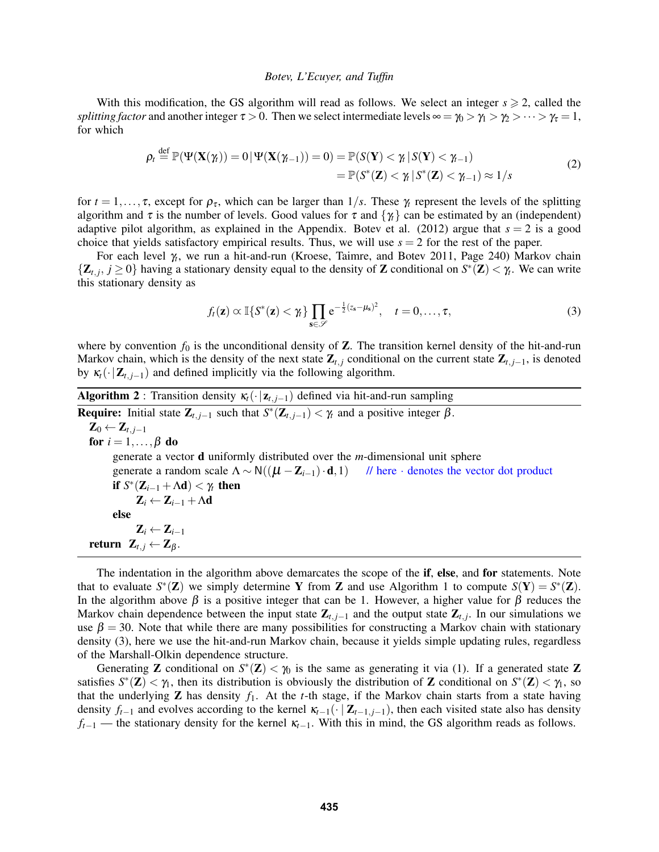With this modification, the GS algorithm will read as follows. We select an integer  $s \ge 2$ , called the *splitting factor* and another integer  $\tau > 0$ . Then we select intermediate levels  $\infty = \gamma_0 > \gamma_1 > \gamma_2 > \cdots > \gamma_\tau = 1$ , for which

$$
\rho_t \stackrel{\text{def}}{=} \mathbb{P}(\Psi(\mathbf{X}(\gamma_t)) = 0 | \Psi(\mathbf{X}(\gamma_{t-1})) = 0) = \mathbb{P}(S(\mathbf{Y}) < \gamma_t | S(\mathbf{Y}) < \gamma_{t-1})
$$
\n
$$
= \mathbb{P}(S^*(\mathbf{Z}) < \gamma_t | S^*(\mathbf{Z}) < \gamma_{t-1}) \approx 1/s \tag{2}
$$

for  $t = 1, \ldots, \tau$ , except for  $\rho_{\tau}$ , which can be larger than  $1/s$ . These  $\gamma_t$  represent the levels of the splitting algorithm and  $\tau$  is the number of levels. Good values for  $\tau$  and  $\{\gamma_t\}$  can be estimated by an (independent) adaptive pilot algorithm, as explained in the Appendix. Botev et al. (2012) argue that  $s = 2$  is a good choice that yields satisfactory empirical results. Thus, we will use  $s = 2$  for the rest of the paper.

For each level γ*<sup>t</sup>* , we run a hit-and-run (Kroese, Taimre, and Botev 2011, Page 240) Markov chain  $\{Z_{t,j}, j \ge 0\}$  having a stationary density equal to the density of Z conditional on  $S^*(\mathbf{Z}) < \gamma_t$ . We can write this stationary density as

$$
f_t(\mathbf{z}) \propto \mathbb{I}\{S^*(\mathbf{z}) < \gamma_t\} \prod_{\mathbf{s} \in \mathscr{S}} e^{-\frac{1}{2}(z_{\mathbf{s}} - \mu_{\mathbf{s}})^2}, \quad t = 0, \dots, \tau,
$$
\n(3)

where by convention  $f_0$  is the unconditional density of  $\mathbb Z$ . The transition kernel density of the hit-and-run Markov chain, which is the density of the next state  $\mathbf{Z}_{t,j}$  conditional on the current state  $\mathbf{Z}_{t,j-1}$ , is denoted by  $\kappa_t(\cdot|\mathbf{Z}_{t,j-1})$  and defined implicitly via the following algorithm.

| <b>Algorithm 2</b> : Transition density $\kappa_i(\cdot   \mathbf{z}_{t,i-1})$ defined via hit-and-run sampling                       |  |  |  |  |  |
|---------------------------------------------------------------------------------------------------------------------------------------|--|--|--|--|--|
| <b>Require:</b> Initial state $\mathbf{Z}_{t,i-1}$ such that $S^*(\mathbf{Z}_{t,i-1}) < \gamma_t$ and a positive integer $\beta$ .    |  |  |  |  |  |
| $\mathbf{Z}_0 \leftarrow \mathbf{Z}_{t, i-1}$                                                                                         |  |  |  |  |  |
| for $i = 1, \ldots, \beta$ do                                                                                                         |  |  |  |  |  |
| generate a vector <b>d</b> uniformly distributed over the $m$ -dimensional unit sphere                                                |  |  |  |  |  |
| generate a random scale $\Lambda \sim N((\mu - \mathbb{Z}_{i-1}) \cdot \mathbf{d}, 1)$ // here $\cdot$ denotes the vector dot product |  |  |  |  |  |
| if $S^*(\mathbf{Z}_{i-1} + \Lambda \mathbf{d}) < \gamma_t$ then                                                                       |  |  |  |  |  |
| $\mathbf{Z}_i \leftarrow \mathbf{Z}_{i-1} + \Lambda \mathbf{d}$                                                                       |  |  |  |  |  |
| else                                                                                                                                  |  |  |  |  |  |
| $\mathbf{Z}_i \leftarrow \mathbf{Z}_{i-1}$                                                                                            |  |  |  |  |  |
| return $\mathbf{Z}_{t,j} \leftarrow \mathbf{Z}_{\beta}$ .                                                                             |  |  |  |  |  |

The indentation in the algorithm above demarcates the scope of the **if, else, and for** statements. Note that to evaluate  $S^*(\mathbf{Z})$  we simply determine Y from Z and use Algorithm 1 to compute  $S(Y) = S^*(\mathbf{Z})$ . In the algorithm above  $\beta$  is a positive integer that can be 1. However, a higher value for  $\beta$  reduces the Markov chain dependence between the input state Z*t*, *<sup>j</sup>*−<sup>1</sup> and the output state Z*t*, *<sup>j</sup>* . In our simulations we use  $\beta = 30$ . Note that while there are many possibilities for constructing a Markov chain with stationary density (3), here we use the hit-and-run Markov chain, because it yields simple updating rules, regardless of the Marshall-Olkin dependence structure.

Generating **Z** conditional on  $S^*(\mathbf{Z}) < \gamma_0$  is the same as generating it via (1). If a generated state **Z** satisfies  $S^*(\mathbf{Z}) < \gamma_1$ , then its distribution is obviously the distribution of **Z** conditional on  $S^*(\mathbf{Z}) < \gamma_1$ , so that the underlying  $Z$  has density  $f_1$ . At the *t*-th stage, if the Markov chain starts from a state having density  $f_{t-1}$  and evolves according to the kernel  $\kappa_{t-1}(\cdot | \mathbf{Z}_{t-1,j-1})$ , then each visited state also has density *f*<sup>*t*−1</sup> — the stationary density for the kernel κ<sub>*t*−1</sub>. With this in mind, the GS algorithm reads as follows.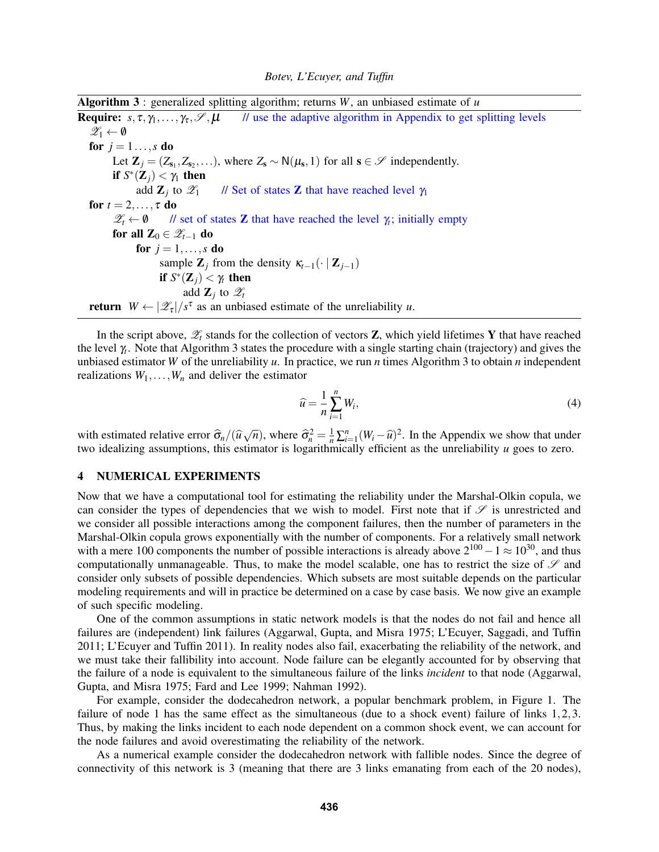Algorithm 3 : generalized splitting algorithm; returns *W*, an unbiased estimate of *u*

**Require:**  $s, \tau, \gamma_1, \ldots, \gamma_{\tau}, \mathcal{S}, \mu$  // use the adaptive algorithm in Appendix to get splitting levels  $\mathscr{Z}_1 \leftarrow \emptyset$ for  $j = 1...$ *s* do Let  $\mathbf{Z}_j = (Z_{s_1}, Z_{s_2}, \ldots)$ , where  $Z_s \sim N(\mu_s, 1)$  for all  $s \in \mathcal{S}$  independently. if  $S^*(\mathbf{Z}_j) < \gamma_1$  then add  $\mathbf{Z}_j$  to  $\mathscr{Z}_1$  // Set of states **Z** that have reached level  $\gamma_1$ for  $t = 2, \ldots, \tau$  do  $\mathscr{Z}_t \leftarrow \emptyset$  // set of states **Z** that have reached the level  $\gamma_t$ ; initially empty for all  $\mathbf{Z}_0 \in \mathscr{Z}_{t-1}$  do for  $j = 1, ..., s$  do sample  $\mathbf{Z}_j$  from the density  $\kappa_{t-1}(\cdot | \mathbf{Z}_{j-1})$ if  $S^*(\mathbf{Z}_j) < \gamma_t$  then add  $\mathbf{Z}_j$  to  $\mathscr{Z}_t$ **return**  $W \leftarrow |\mathcal{Z}_{\tau}|/s^{\tau}$  as an unbiased estimate of the unreliability *u*.

In the script above,  $\mathscr{Z}_t$  stands for the collection of vectors **Z**, which yield lifetimes **Y** that have reached the level γ*<sup>t</sup>* . Note that Algorithm 3 states the procedure with a single starting chain (trajectory) and gives the unbiased estimator *W* of the unreliability *u*. In practice, we run *n* times Algorithm 3 to obtain *n* independent realizations  $W_1, \ldots, W_n$  and deliver the estimator

$$
\widehat{u} = \frac{1}{n} \sum_{i=1}^{n} W_i,
$$
\n(4)

with estimated relative error  $\hat{\sigma}_n/(\hat{u}\sqrt{n})$ , where  $\hat{\sigma}_n^2 = \frac{1}{n}\sum_{i=1}^n (W_i - \hat{u})^2$ . In the Appendix we show that under two idealizing assumptions, this estimator is logarithmically efficient as the unreliability *u* goes to zero.

### 4 NUMERICAL EXPERIMENTS

Now that we have a computational tool for estimating the reliability under the Marshal-Olkin copula, we can consider the types of dependencies that we wish to model. First note that if  $\mathscr S$  is unrestricted and we consider all possible interactions among the component failures, then the number of parameters in the Marshal-Olkin copula grows exponentially with the number of components. For a relatively small network with a mere 100 components the number of possible interactions is already above  $2^{100} - 1 \approx 10^{30}$ , and thus computationally unmanageable. Thus, to make the model scalable, one has to restrict the size of  $\mathscr{S}$  and consider only subsets of possible dependencies. Which subsets are most suitable depends on the particular modeling requirements and will in practice be determined on a case by case basis. We now give an example of such specific modeling.

One of the common assumptions in static network models is that the nodes do not fail and hence all failures are (independent) link failures (Aggarwal, Gupta, and Misra 1975; L'Ecuyer, Saggadi, and Tuffin 2011; L'Ecuyer and Tuffin 2011). In reality nodes also fail, exacerbating the reliability of the network, and we must take their fallibility into account. Node failure can be elegantly accounted for by observing that the failure of a node is equivalent to the simultaneous failure of the links *incident* to that node (Aggarwal, Gupta, and Misra 1975; Fard and Lee 1999; Nahman 1992).

For example, consider the dodecahedron network, a popular benchmark problem, in Figure 1. The failure of node 1 has the same effect as the simultaneous (due to a shock event) failure of links 1,2,3. Thus, by making the links incident to each node dependent on a common shock event, we can account for the node failures and avoid overestimating the reliability of the network.

As a numerical example consider the dodecahedron network with fallible nodes. Since the degree of connectivity of this network is 3 (meaning that there are 3 links emanating from each of the 20 nodes),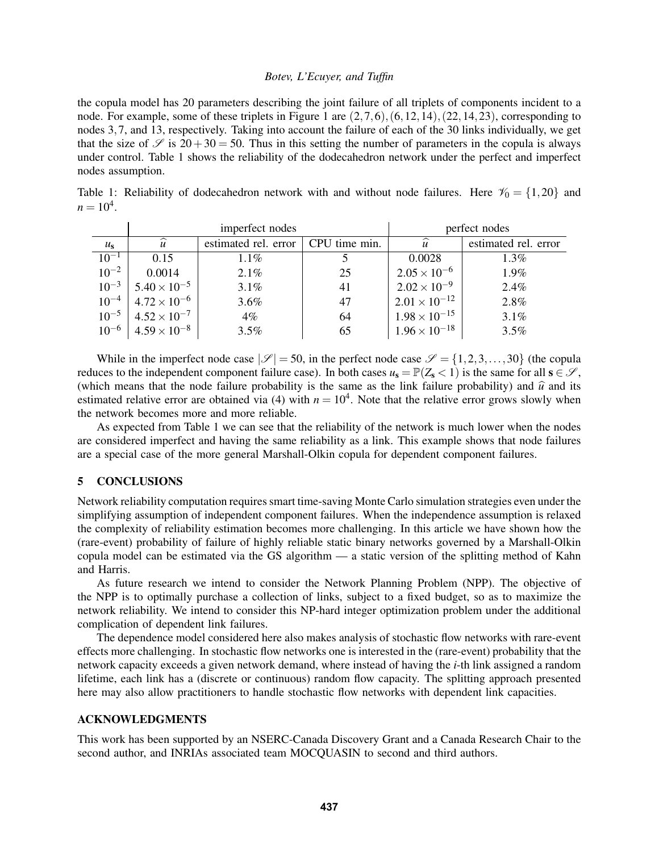the copula model has 20 parameters describing the joint failure of all triplets of components incident to a node. For example, some of these triplets in Figure 1 are  $(2,7,6)$ ,  $(6,12,14)$ ,  $(22,14,23)$ , corresponding to nodes 3,7, and 13, respectively. Taking into account the failure of each of the 30 links individually, we get that the size of  $\mathscr S$  is 20+30 = 50. Thus in this setting the number of parameters in the copula is always under control. Table 1 shows the reliability of the dodecahedron network under the perfect and imperfect nodes assumption.

Table 1: Reliability of dodecahedron network with and without node failures. Here  $\mathcal{V}_0 = \{1,20\}$  and  $n = 10^4$ .

|             | imperfect nodes       |                      |               | perfect nodes          |                      |
|-------------|-----------------------|----------------------|---------------|------------------------|----------------------|
| $u_{\rm s}$ | $\widehat{u}$         | estimated rel. error | CPU time min. | $\widehat{u}$          | estimated rel. error |
| $10^{-1}$   | 0.15                  | $1.1\%$              |               | 0.0028                 | $1.3\%$              |
| $10^{-2}$   | 0.0014                | 2.1%                 | 25            | $2.05 \times 10^{-6}$  | 1.9%                 |
| $10^{-3}$   | $5.40 \times 10^{-5}$ | 3.1%                 | 41            | $2.02 \times 10^{-9}$  | 2.4%                 |
| $10^{-4}$   | $4.72 \times 10^{-6}$ | $3.6\%$              | 47            | $2.01 \times 10^{-12}$ | 2.8%                 |
| $10^{-5}$   | $4.52 \times 10^{-7}$ | $4\%$                | 64            | $1.98 \times 10^{-15}$ | 3.1%                 |
| $10^{-6}$   | $4.59 \times 10^{-8}$ | $3.5\%$              | 65            | $1.96 \times 10^{-18}$ | 3.5%                 |

While in the imperfect node case  $|\mathscr{S}| = 50$ , in the perfect node case  $\mathscr{S} = \{1, 2, 3, ..., 30\}$  (the copula reduces to the independent component failure case). In both cases  $u_s = \mathbb{P}(Z_s < 1)$  is the same for all  $s \in \mathcal{S}$ , (which means that the node failure probability is the same as the link failure probability) and  $\hat{u}$  and its estimated relative error are obtained via (4) with  $n = 10<sup>4</sup>$ . Note that the relative error grows slowly when the network becomes more and more reliable.

As expected from Table 1 we can see that the reliability of the network is much lower when the nodes are considered imperfect and having the same reliability as a link. This example shows that node failures are a special case of the more general Marshall-Olkin copula for dependent component failures.

### 5 CONCLUSIONS

Network reliability computation requires smart time-saving Monte Carlo simulation strategies even under the simplifying assumption of independent component failures. When the independence assumption is relaxed the complexity of reliability estimation becomes more challenging. In this article we have shown how the (rare-event) probability of failure of highly reliable static binary networks governed by a Marshall-Olkin copula model can be estimated via the GS algorithm — a static version of the splitting method of Kahn and Harris.

As future research we intend to consider the Network Planning Problem (NPP). The objective of the NPP is to optimally purchase a collection of links, subject to a fixed budget, so as to maximize the network reliability. We intend to consider this NP-hard integer optimization problem under the additional complication of dependent link failures.

The dependence model considered here also makes analysis of stochastic flow networks with rare-event effects more challenging. In stochastic flow networks one is interested in the (rare-event) probability that the network capacity exceeds a given network demand, where instead of having the *i*-th link assigned a random lifetime, each link has a (discrete or continuous) random flow capacity. The splitting approach presented here may also allow practitioners to handle stochastic flow networks with dependent link capacities.

# ACKNOWLEDGMENTS

This work has been supported by an NSERC-Canada Discovery Grant and a Canada Research Chair to the second author, and INRIAs associated team MOCQUASIN to second and third authors.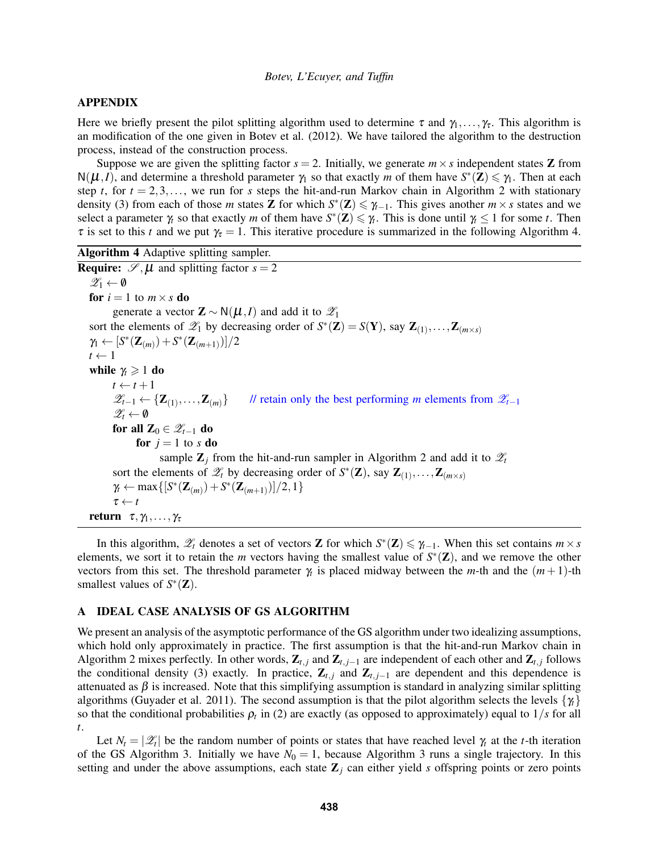# APPENDIX

Here we briefly present the pilot splitting algorithm used to determine  $\tau$  and  $\gamma_1, \ldots, \gamma_\tau$ . This algorithm is an modification of the one given in Botev et al. (2012). We have tailored the algorithm to the destruction process, instead of the construction process.

Suppose we are given the splitting factor  $s = 2$ . Initially, we generate  $m \times s$  independent states **Z** from  $N(\mu, I)$ , and determine a threshold parameter  $\gamma_1$  so that exactly *m* of them have  $S^*(\mathbf{Z}) \leq \gamma_1$ . Then at each step *t*, for  $t = 2,3,...$ , we run for *s* steps the hit-and-run Markov chain in Algorithm 2 with stationary density (3) from each of those *m* states **Z** for which  $S^*(\mathbf{Z}) \leq \gamma_{t-1}$ . This gives another  $m \times s$  states and we select a parameter  $\gamma_t$  so that exactly *m* of them have  $S^*(\mathbb{Z}) \leq \gamma_t$ . This is done until  $\gamma_t \leq 1$  for some *t*. Then  $\tau$  is set to this *t* and we put  $\gamma_{\tau} = 1$ . This iterative procedure is summarized in the following Algorithm 4.

Algorithm 4 Adaptive splitting sampler.

**Require:**  $\mathscr{S}, \mu$  and splitting factor  $s = 2$  $\mathscr{Z}_1 \leftarrow \emptyset$ for  $i = 1$  to  $m \times s$  do generate a vector  $\mathbf{Z} \sim \mathsf{N}(\boldsymbol{\mu}, I)$  and add it to  $\mathscr{Z}_1$ sort the elements of  $\mathscr{L}_1$  by decreasing order of  $S^*(\mathbf{Z}) = S(\mathbf{Y})$ , say  $\mathbf{Z}_{(1)}, \ldots, \mathbf{Z}_{(m \times s)}$  $\gamma_1 \leftarrow [S^*(\mathbf{Z}_{(m)}) + S^*(\mathbf{Z}_{(m+1)})]/2$  $t \leftarrow 1$ while  $\gamma_t \geqslant 1$  do  $t \leftarrow t + 1$  $\mathscr{Z}_{t-1} \leftarrow {\mathbf{Z}_{(1)}, \ldots, \mathbf{Z}_{(m)}}$ *l*/ retain only the best performing *m* elements from  $\mathcal{L}_{t-1}$  $\mathscr{Z}_t \leftarrow \emptyset$ for all  $\mathbf{Z}_0 \in \mathscr{Z}_{t-1}$  do for  $j = 1$  to *s* do sample  $\mathbf{Z}_i$  from the hit-and-run sampler in Algorithm 2 and add it to  $\mathcal{Z}_t$ sort the elements of  $\mathscr{Z}_t$  by decreasing order of  $S^*(\mathbf{Z})$ , say  $\mathbf{Z}_{(1)}, \ldots, \mathbf{Z}_{(m \times s)}$ *γ*<sub>t</sub> ← max {[*S*<sup>\*</sup>(**Z**<sub>(*m*)</sub>) + *S*<sup>\*</sup>(**Z**<sub>(*m*+1)</sub>)]/2, 1}  $\tau \leftarrow t$ return  $τ, γ<sub>1</sub>, ..., γ<sub>τ</sub>$ 

In this algorithm,  $\mathscr{L}_t$  denotes a set of vectors **Z** for which  $S^*(\mathbf{Z}) \leq \gamma_{t-1}$ . When this set contains  $m \times s$ elements, we sort it to retain the *m* vectors having the smallest value of  $S^*(\mathbf{Z})$ , and we remove the other vectors from this set. The threshold parameter  $\gamma_t$  is placed midway between the *m*-th and the  $(m+1)$ -th smallest values of  $S^*(\mathbf{Z})$ .

### A IDEAL CASE ANALYSIS OF GS ALGORITHM

We present an analysis of the asymptotic performance of the GS algorithm under two idealizing assumptions, which hold only approximately in practice. The first assumption is that the hit-and-run Markov chain in Algorithm 2 mixes perfectly. In other words,  $\mathbf{Z}_{t,j}$  and  $\mathbf{Z}_{t,j-1}$  are independent of each other and  $\mathbf{Z}_{t,j}$  follows the conditional density (3) exactly. In practice,  $\mathbf{Z}_{t,j}$  and  $\mathbf{Z}_{t,j-1}$  are dependent and this dependence is attenuated as  $\beta$  is increased. Note that this simplifying assumption is standard in analyzing similar splitting algorithms (Guyader et al. 2011). The second assumption is that the pilot algorithm selects the levels {γ*t*} so that the conditional probabilities  $\rho_t$  in (2) are exactly (as opposed to approximately) equal to  $1/s$  for all *t*.

Let  $N_t = |\mathcal{Z}_t|$  be the random number of points or states that have reached level  $\gamma_t$  at the *t*-th iteration of the GS Algorithm 3. Initially we have  $N_0 = 1$ , because Algorithm 3 runs a single trajectory. In this setting and under the above assumptions, each state  $\mathbb{Z}_j$  can either yield *s* offspring points or zero points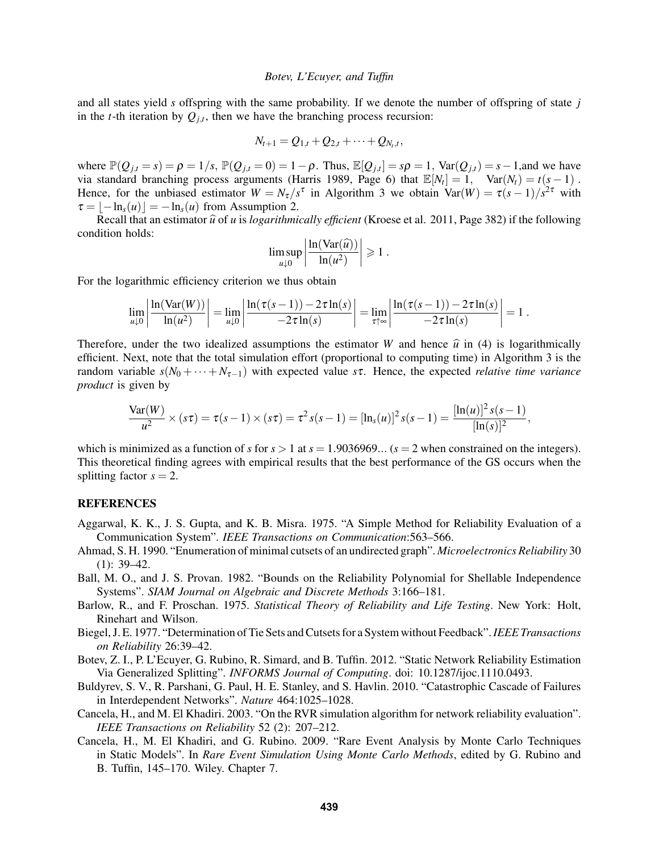and all states yield *s* offspring with the same probability. If we denote the number of offspring of state *j* in the *t*-th iteration by  $Q_{j,t}$ , then we have the branching process recursion:

$$
N_{t+1} = Q_{1,t} + Q_{2,t} + \cdots + Q_{N_t,t},
$$

where  $\mathbb{P}(Q_{j,t}=s) = \rho = 1/s$ ,  $\mathbb{P}(Q_{j,t}=0) = 1-\rho$ . Thus,  $\mathbb{E}[Q_{j,t}] = s\rho = 1$ ,  $\text{Var}(Q_{j,t}) = s-1$ , and we have via standard branching process arguments (Harris 1989, Page 6) that  $\mathbb{E}[N_t] = 1$ ,  $\text{Var}(N_t) = t(s-1)$ . Hence, for the unbiased estimator  $W = N_{\tau}/s^{\tau}$  in Algorithm 3 we obtain  $Var(W) = \tau(s-1)/s^{2\tau}$  with  $\tau = \frac{\ln s(u)}{s} = -\ln s(u)$  from Assumption 2.

Recall that an estimator  $\hat{u}$  of *u* is *logarithmically efficient* (Kroese et al. 2011, Page 382) if the following condition holds:

$$
\limsup_{u\downarrow 0} \left| \frac{\ln(\text{Var}(\widehat{u}))}{\ln(u^2)} \right| \geqslant 1.
$$

For the logarithmic efficiency criterion we thus obtain

$$
\lim_{u\downarrow 0}\left|\frac{\ln(\text{Var}(W))}{\ln(u^2)}\right|=\lim_{u\downarrow 0}\left|\frac{\ln(\tau(s-1))-2\tau\ln(s)}{-2\tau\ln(s)}\right|=\lim_{\tau\uparrow\infty}\left|\frac{\ln(\tau(s-1))-2\tau\ln(s)}{-2\tau\ln(s)}\right|=1.
$$

Therefore, under the two idealized assumptions the estimator *W* and hence  $\hat{u}$  in (4) is logarithmically efficient. Next, note that the total simulation effort (proportional to computing time) in Algorithm 3 is the random variable  $s(N_0 + \cdots + N_{\tau-1})$  with expected value *s*τ. Hence, the expected *relative time variance product* is given by

$$
\frac{\text{Var}(W)}{u^2} \times (s\tau) = \tau(s-1) \times (s\tau) = \tau^2 s(s-1) = [\ln_s(u)]^2 s(s-1) = \frac{[\ln(u)]^2 s(s-1)}{[\ln(s)]^2},
$$

which is minimized as a function of *s* for  $s > 1$  at  $s = 1.9036969...$  ( $s = 2$  when constrained on the integers). This theoretical finding agrees with empirical results that the best performance of the GS occurs when the splitting factor  $s = 2$ .

### REFERENCES

- Aggarwal, K. K., J. S. Gupta, and K. B. Misra. 1975. "A Simple Method for Reliability Evaluation of a Communication System". *IEEE Transactions on Communication*:563–566.
- Ahmad, S. H. 1990. "Enumeration of minimal cutsets of an undirected graph". *Microelectronics Reliability* 30  $(1): 39-42.$
- Ball, M. O., and J. S. Provan. 1982. "Bounds on the Reliability Polynomial for Shellable Independence Systems". *SIAM Journal on Algebraic and Discrete Methods* 3:166–181.
- Barlow, R., and F. Proschan. 1975. *Statistical Theory of Reliability and Life Testing*. New York: Holt, Rinehart and Wilson.
- Biegel, J. E. 1977. "Determination of Tie Sets and Cutsets for a System without Feedback".*IEEE Transactions on Reliability* 26:39–42.
- Botev, Z. I., P. L'Ecuyer, G. Rubino, R. Simard, and B. Tuffin. 2012. "Static Network Reliability Estimation Via Generalized Splitting". *INFORMS Journal of Computing*. doi: 10.1287/ijoc.1110.0493.
- Buldyrev, S. V., R. Parshani, G. Paul, H. E. Stanley, and S. Havlin. 2010. "Catastrophic Cascade of Failures in Interdependent Networks". *Nature* 464:1025–1028.
- Cancela, H., and M. El Khadiri. 2003. "On the RVR simulation algorithm for network reliability evaluation". *IEEE Transactions on Reliability* 52 (2): 207–212.
- Cancela, H., M. El Khadiri, and G. Rubino. 2009. "Rare Event Analysis by Monte Carlo Techniques in Static Models". In *Rare Event Simulation Using Monte Carlo Methods*, edited by G. Rubino and B. Tuffin, 145–170. Wiley. Chapter 7.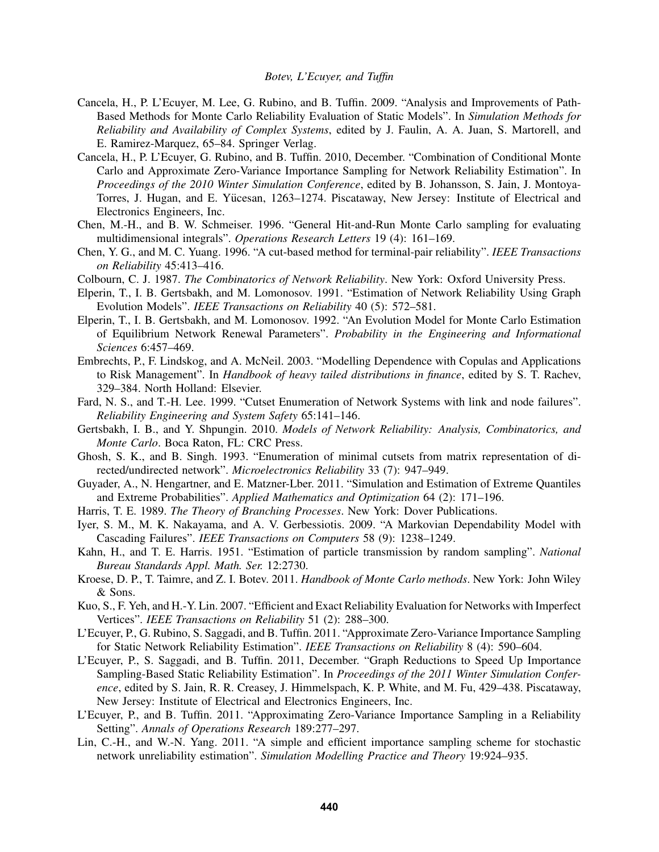- Cancela, H., P. L'Ecuyer, M. Lee, G. Rubino, and B. Tuffin. 2009. "Analysis and Improvements of Path-Based Methods for Monte Carlo Reliability Evaluation of Static Models". In *Simulation Methods for Reliability and Availability of Complex Systems*, edited by J. Faulin, A. A. Juan, S. Martorell, and E. Ramirez-Marquez, 65–84. Springer Verlag.
- Cancela, H., P. L'Ecuyer, G. Rubino, and B. Tuffin. 2010, December. "Combination of Conditional Monte Carlo and Approximate Zero-Variance Importance Sampling for Network Reliability Estimation". In *Proceedings of the 2010 Winter Simulation Conference*, edited by B. Johansson, S. Jain, J. Montoya-Torres, J. Hugan, and E. Yücesan, 1263–1274. Piscataway, New Jersey: Institute of Electrical and Electronics Engineers, Inc.
- Chen, M.-H., and B. W. Schmeiser. 1996. "General Hit-and-Run Monte Carlo sampling for evaluating multidimensional integrals". *Operations Research Letters* 19 (4): 161–169.
- Chen, Y. G., and M. C. Yuang. 1996. "A cut-based method for terminal-pair reliability". *IEEE Transactions on Reliability* 45:413–416.
- Colbourn, C. J. 1987. *The Combinatorics of Network Reliability*. New York: Oxford University Press.
- Elperin, T., I. B. Gertsbakh, and M. Lomonosov. 1991. "Estimation of Network Reliability Using Graph Evolution Models". *IEEE Transactions on Reliability* 40 (5): 572–581.
- Elperin, T., I. B. Gertsbakh, and M. Lomonosov. 1992. "An Evolution Model for Monte Carlo Estimation of Equilibrium Network Renewal Parameters". *Probability in the Engineering and Informational Sciences* 6:457–469.
- Embrechts, P., F. Lindskog, and A. McNeil. 2003. "Modelling Dependence with Copulas and Applications to Risk Management". In *Handbook of heavy tailed distributions in finance*, edited by S. T. Rachev, 329–384. North Holland: Elsevier.
- Fard, N. S., and T.-H. Lee. 1999. "Cutset Enumeration of Network Systems with link and node failures". *Reliability Engineering and System Safety* 65:141–146.
- Gertsbakh, I. B., and Y. Shpungin. 2010. *Models of Network Reliability: Analysis, Combinatorics, and Monte Carlo*. Boca Raton, FL: CRC Press.
- Ghosh, S. K., and B. Singh. 1993. "Enumeration of minimal cutsets from matrix representation of directed/undirected network". *Microelectronics Reliability* 33 (7): 947–949.
- Guyader, A., N. Hengartner, and E. Matzner-Lber. 2011. "Simulation and Estimation of Extreme Quantiles and Extreme Probabilities". *Applied Mathematics and Optimization* 64 (2): 171–196.
- Harris, T. E. 1989. *The Theory of Branching Processes*. New York: Dover Publications.
- Iyer, S. M., M. K. Nakayama, and A. V. Gerbessiotis. 2009. "A Markovian Dependability Model with Cascading Failures". *IEEE Transactions on Computers* 58 (9): 1238–1249.
- Kahn, H., and T. E. Harris. 1951. "Estimation of particle transmission by random sampling". *National Bureau Standards Appl. Math. Ser.* 12:2730.
- Kroese, D. P., T. Taimre, and Z. I. Botev. 2011. *Handbook of Monte Carlo methods*. New York: John Wiley & Sons.
- Kuo, S., F. Yeh, and H.-Y. Lin. 2007. "Efficient and Exact Reliability Evaluation for Networks with Imperfect Vertices". *IEEE Transactions on Reliability* 51 (2): 288–300.
- L'Ecuyer, P., G. Rubino, S. Saggadi, and B. Tuffin. 2011. "Approximate Zero-Variance Importance Sampling for Static Network Reliability Estimation". *IEEE Transactions on Reliability* 8 (4): 590–604.
- L'Ecuyer, P., S. Saggadi, and B. Tuffin. 2011, December. "Graph Reductions to Speed Up Importance Sampling-Based Static Reliability Estimation". In *Proceedings of the 2011 Winter Simulation Conference*, edited by S. Jain, R. R. Creasey, J. Himmelspach, K. P. White, and M. Fu, 429–438. Piscataway, New Jersey: Institute of Electrical and Electronics Engineers, Inc.
- L'Ecuyer, P., and B. Tuffin. 2011. "Approximating Zero-Variance Importance Sampling in a Reliability Setting". *Annals of Operations Research* 189:277–297.
- Lin, C.-H., and W.-N. Yang. 2011. "A simple and efficient importance sampling scheme for stochastic network unreliability estimation". *Simulation Modelling Practice and Theory* 19:924–935.